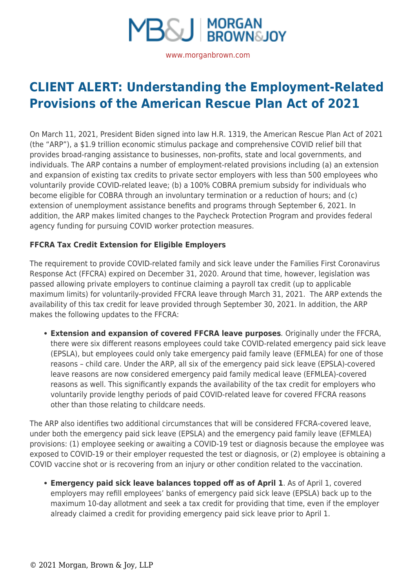

**[CLIENT ALERT: Understanding the Employment-Related](https://www.morganbrown.com/legal-update/client-alert-understanding-the-employment-related-provisions-of-the-american-rescue-plan-act-of-2021/) [Provisions of the American Rescue Plan Act of 2021](https://www.morganbrown.com/legal-update/client-alert-understanding-the-employment-related-provisions-of-the-american-rescue-plan-act-of-2021/)**

On March 11, 2021, President Biden signed into law H.R. 1319, the American Rescue Plan Act of 2021 (the "ARP"), a \$1.9 trillion economic stimulus package and comprehensive COVID relief bill that provides broad-ranging assistance to businesses, non-profits, state and local governments, and individuals. The ARP contains a number of employment-related provisions including (a) an extension and expansion of existing tax credits to private sector employers with less than 500 employees who voluntarily provide COVID-related leave; (b) a 100% COBRA premium subsidy for individuals who become eligible for COBRA through an involuntary termination or a reduction of hours; and (c) extension of unemployment assistance benefits and programs through September 6, 2021. In addition, the ARP makes limited changes to the Paycheck Protection Program and provides federal agency funding for pursuing COVID worker protection measures.

# **FFCRA Tax Credit Extension for Eligible Employers**

The requirement to provide COVID-related family and sick leave under the Families First Coronavirus Response Act (FFCRA) expired on December 31, 2020. Around that time, however, legislation was passed allowing private employers to continue claiming a payroll tax credit (up to applicable maximum limits) for voluntarily-provided FFCRA leave through March 31, 2021. The ARP extends the availability of this tax credit for leave provided through September 30, 2021. In addition, the ARP makes the following updates to the FFCRA:

**Extension and expansion of covered FFCRA leave purposes**. Originally under the FFCRA, there were six different reasons employees could take COVID-related emergency paid sick leave (EPSLA), but employees could only take emergency paid family leave (EFMLEA) for one of those reasons – child care. Under the ARP, all six of the emergency paid sick leave (EPSLA)-covered leave reasons are now considered emergency paid family medical leave (EFMLEA)-covered reasons as well. This significantly expands the availability of the tax credit for employers who voluntarily provide lengthy periods of paid COVID-related leave for covered FFCRA reasons other than those relating to childcare needs.

The ARP also identifies two additional circumstances that will be considered FFCRA-covered leave, under both the emergency paid sick leave (EPSLA) and the emergency paid family leave (EFMLEA) provisions: (1) employee seeking or awaiting a COVID-19 test or diagnosis because the employee was exposed to COVID-19 or their employer requested the test or diagnosis, or (2) employee is obtaining a COVID vaccine shot or is recovering from an injury or other condition related to the vaccination.

**Emergency paid sick leave balances topped off as of April 1**. As of April 1, covered employers may refill employees' banks of emergency paid sick leave (EPSLA) back up to the maximum 10-day allotment and seek a tax credit for providing that time, even if the employer already claimed a credit for providing emergency paid sick leave prior to April 1.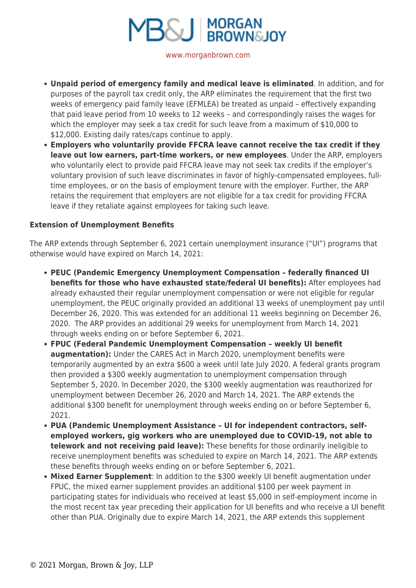

[www.morganbrown.com](https://www.morganbrown.com/home/)

- **Unpaid period of emergency family and medical leave is eliminated**. In addition, and for purposes of the payroll tax credit only, the ARP eliminates the requirement that the first two weeks of emergency paid family leave (EFMLEA) be treated as unpaid – effectively expanding that paid leave period from 10 weeks to 12 weeks – and correspondingly raises the wages for which the employer may seek a tax credit for such leave from a maximum of \$10,000 to \$12,000. Existing daily rates/caps continue to apply.
- **Employers who voluntarily provide FFCRA leave cannot receive the tax credit if they leave out low earners, part-time workers, or new employees**. Under the ARP, employers who voluntarily elect to provide paid FFCRA leave may not seek tax credits if the employer's voluntary provision of such leave discriminates in favor of highly-compensated employees, fulltime employees, or on the basis of employment tenure with the employer. Further, the ARP retains the requirement that employers are not eligible for a tax credit for providing FFCRA leave if they retaliate against employees for taking such leave.

### **Extension of Unemployment Benefits**

The ARP extends through September 6, 2021 certain unemployment insurance ("UI") programs that otherwise would have expired on March 14, 2021:

- **PEUC (Pandemic Emergency Unemployment Compensation federally financed UI benefits for those who have exhausted state/federal UI benefits):** After employees had already exhausted their regular unemployment compensation or were not eligible for regular unemployment, the PEUC originally provided an additional 13 weeks of unemployment pay until December 26, 2020. This was extended for an additional 11 weeks beginning on December 26, 2020. The ARP provides an additional 29 weeks for unemployment from March 14, 2021 through weeks ending on or before September 6, 2021.
- **FPUC (Federal Pandemic Unemployment Compensation weekly UI benefit augmentation):** Under the CARES Act in March 2020, unemployment benefits were temporarily augmented by an extra \$600 a week until late July 2020. A federal grants program then provided a \$300 weekly augmentation to unemployment compensation through September 5, 2020. In December 2020, the \$300 weekly augmentation was reauthorized for unemployment between December 26, 2020 and March 14, 2021. The ARP extends the additional \$300 benefit for unemployment through weeks ending on or before September 6, 2021.
- **PUA (Pandemic Unemployment Assistance UI for independent contractors, selfemployed workers, gig workers who are unemployed due to COVID-19, not able to telework and not receiving paid leave):** These benefits for those ordinarily ineligible to receive unemployment benefits was scheduled to expire on March 14, 2021. The ARP extends these benefits through weeks ending on or before September 6, 2021.
- **Mixed Earner Supplement**: In addition to the \$300 weekly UI benefit augmentation under FPUC, the mixed earner supplement provides an additional \$100 per week payment in participating states for individuals who received at least \$5,000 in self-employment income in the most recent tax year preceding their application for UI benefits and who receive a UI benefit other than PUA. Originally due to expire March 14, 2021, the ARP extends this supplement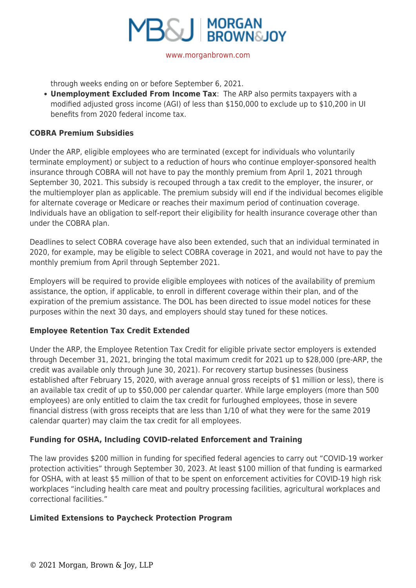

through weeks ending on or before September 6, 2021.

**Unemployment Excluded From Income Tax**: The ARP also permits taxpayers with a modified adjusted gross income (AGI) of less than \$150,000 to exclude up to \$10,200 in UI benefits from 2020 federal income tax.

### **COBRA Premium Subsidies**

Under the ARP, eligible employees who are terminated (except for individuals who voluntarily terminate employment) or subject to a reduction of hours who continue employer-sponsored health insurance through COBRA will not have to pay the monthly premium from April 1, 2021 through September 30, 2021. This subsidy is recouped through a tax credit to the employer, the insurer, or the multiemployer plan as applicable. The premium subsidy will end if the individual becomes eligible for alternate coverage or Medicare or reaches their maximum period of continuation coverage. Individuals have an obligation to self-report their eligibility for health insurance coverage other than under the COBRA plan.

Deadlines to select COBRA coverage have also been extended, such that an individual terminated in 2020, for example, may be eligible to select COBRA coverage in 2021, and would not have to pay the monthly premium from April through September 2021.

Employers will be required to provide eligible employees with notices of the availability of premium assistance, the option, if applicable, to enroll in different coverage within their plan, and of the expiration of the premium assistance. The DOL has been directed to issue model notices for these purposes within the next 30 days, and employers should stay tuned for these notices.

## **Employee Retention Tax Credit Extended**

Under the ARP, the Employee Retention Tax Credit for eligible private sector employers is extended through December 31, 2021, bringing the total maximum credit for 2021 up to \$28,000 (pre-ARP, the credit was available only through June 30, 2021). For recovery startup businesses (business established after February 15, 2020, with average annual gross receipts of \$1 million or less), there is an available tax credit of up to \$50,000 per calendar quarter. While large employers (more than 500 employees) are only entitled to claim the tax credit for furloughed employees, those in severe financial distress (with gross receipts that are less than 1/10 of what they were for the same 2019 calendar quarter) may claim the tax credit for all employees.

## **Funding for OSHA, Including COVID-related Enforcement and Training**

The law provides \$200 million in funding for specified federal agencies to carry out "COVID-19 worker protection activities" through September 30, 2023. At least \$100 million of that funding is earmarked for OSHA, with at least \$5 million of that to be spent on enforcement activities for COVID-19 high risk workplaces "including health care meat and poultry processing facilities, agricultural workplaces and correctional facilities."

#### **Limited Extensions to Paycheck Protection Program**